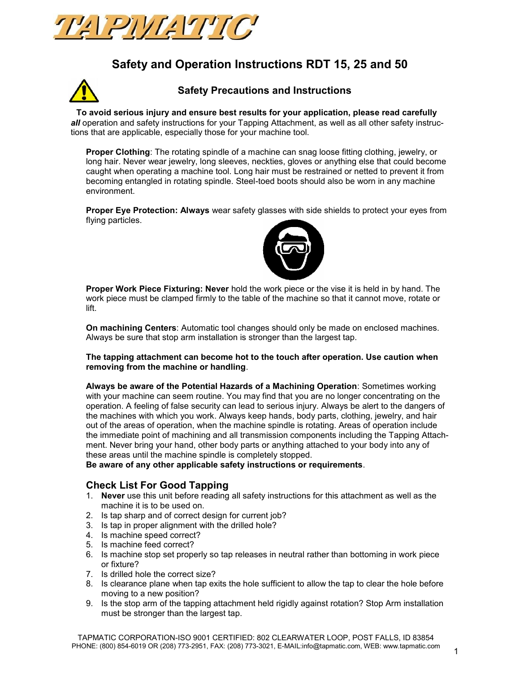

# **Safety and Operation Instructions RDT 15, 25 and 50**



# **Safety Precautions and Instructions**

 **To avoid serious injury and ensure best results for your application, please read carefully**  *all* operation and safety instructions for your Tapping Attachment, as well as all other safety instructions that are applicable, especially those for your machine tool.

**Proper Clothing**: The rotating spindle of a machine can snag loose fitting clothing, jewelry, or long hair. Never wear jewelry, long sleeves, neckties, gloves or anything else that could become caught when operating a machine tool. Long hair must be restrained or netted to prevent it from becoming entangled in rotating spindle. Steel-toed boots should also be worn in any machine environment.

**Proper Eye Protection: Always** wear safety glasses with side shields to protect your eyes from flying particles.



**Proper Work Piece Fixturing: Never** hold the work piece or the vise it is held in by hand. The work piece must be clamped firmly to the table of the machine so that it cannot move, rotate or lift.

**On machining Centers**: Automatic tool changes should only be made on enclosed machines. Always be sure that stop arm installation is stronger than the largest tap.

**The tapping attachment can become hot to the touch after operation. Use caution when removing from the machine or handling**.

**Always be aware of the Potential Hazards of a Machining Operation**: Sometimes working with your machine can seem routine. You may find that you are no longer concentrating on the operation. A feeling of false security can lead to serious injury. Always be alert to the dangers of the machines with which you work. Always keep hands, body parts, clothing, jewelry, and hair out of the areas of operation, when the machine spindle is rotating. Areas of operation include the immediate point of machining and all transmission components including the Tapping Attachment. Never bring your hand, other body parts or anything attached to your body into any of these areas until the machine spindle is completely stopped.

**Be aware of any other applicable safety instructions or requirements**.

# **Check List For Good Tapping**

- 1. **Never** use this unit before reading all safety instructions for this attachment as well as the machine it is to be used on.
- 2. Is tap sharp and of correct design for current job?
- 3. Is tap in proper alignment with the drilled hole?
- 4. Is machine speed correct?
- 5. Is machine feed correct?
- 6. Is machine stop set properly so tap releases in neutral rather than bottoming in work piece or fixture?
- 7. Is drilled hole the correct size?
- 8. Is clearance plane when tap exits the hole sufficient to allow the tap to clear the hole before moving to a new position?
- 9. Is the stop arm of the tapping attachment held rigidly against rotation? Stop Arm installation must be stronger than the largest tap.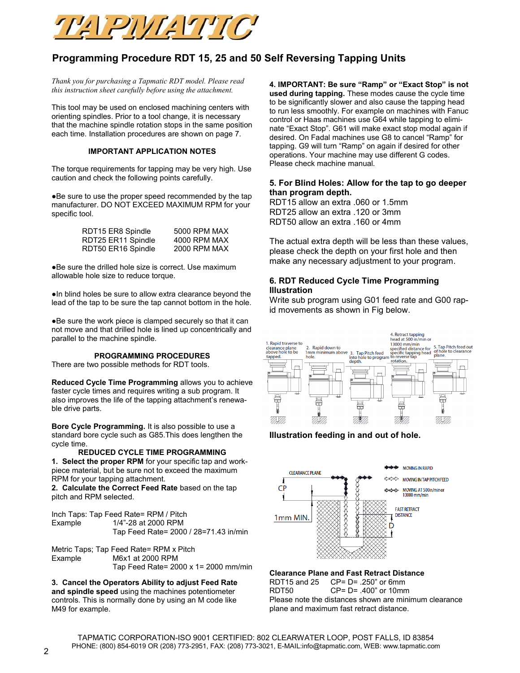

# **Programming Procedure RDT 15, 25 and 50 Self Reversing Tapping Units**

*Thank you for purchasing a Tapmatic RDT model. Please read this instruction sheet carefully before using the attachment.*

This tool may be used on enclosed machining centers with orienting spindles. Prior to a tool change, it is necessary that the machine spindle rotation stops in the same position each time. Installation procedures are shown on page 7.

#### **IMPORTANT APPLICATION NOTES**

The torque requirements for tapping may be very high. Use caution and check the following points carefully.

●Be sure to use the proper speed recommended by the tap manufacturer. DO NOT EXCEED MAXIMUM RPM for your specific tool.

| RDT15 ER8 Spindle  | 5000 RPM MAX |
|--------------------|--------------|
| RDT25 ER11 Spindle | 4000 RPM MAX |
| RDT50 ER16 Spindle | 2000 RPM MAX |

●Be sure the drilled hole size is correct. Use maximum allowable hole size to reduce torque.

●In blind holes be sure to allow extra clearance beyond the lead of the tap to be sure the tap cannot bottom in the hole.

●Be sure the work piece is clamped securely so that it can not move and that drilled hole is lined up concentrically and parallel to the machine spindle.

#### **PROGRAMMING PROCEDURES**

There are two possible methods for RDT tools.

**Reduced Cycle Time Programming** allows you to achieve faster cycle times and requires writing a sub program. It also improves the life of the tapping attachment's renewable drive parts.

**Bore Cycle Programming.** It is also possible to use a standard bore cycle such as G85.This does lengthen the cycle time.

**REDUCED CYCLE TIME PROGRAMMING**

**1. Select the proper RPM** for your specific tap and workpiece material, but be sure not to exceed the maximum RPM for your tapping attachment.

**2. Calculate the Correct Feed Rate** based on the tap pitch and RPM selected.

Inch Taps: Tap Feed Rate= RPM / Pitch Example 1/4"-28 at 2000 RPM Tap Feed Rate= 2000 / 28=71.43 in/min

Metric Taps; Tap Feed Rate= RPM x Pitch Example M6x1 at 2000 RPM Tap Feed Rate= 2000 x 1= 2000 mm/min

**3. Cancel the Operators Ability to adjust Feed Rate and spindle speed** using the machines potentiometer controls. This is normally done by using an M code like M49 for example.

**4. IMPORTANT: Be sure "Ramp" or "Exact Stop" is not used during tapping.** These modes cause the cycle time to be significantly slower and also cause the tapping head to run less smoothly. For example on machines with Fanuc control or Haas machines use G64 while tapping to eliminate "Exact Stop". G61 will make exact stop modal again if desired. On Fadal machines use G8 to cancel "Ramp" for tapping. G9 will turn "Ramp" on again if desired for other operations. Your machine may use different G codes. Please check machine manual.

#### **5. For Blind Holes: Allow for the tap to go deeper than program depth.**

RDT15 allow an extra .060 or 1.5mm RDT25 allow an extra .120 or 3mm RDT50 allow an extra .160 or 4mm

The actual extra depth will be less than these values, please check the depth on your first hole and then make any necessary adjustment to your program.

#### **6. RDT Reduced Cycle Time Programming Illustration**

Write sub program using G01 feed rate and G00 rapid movements as shown in Fig below.



#### **Illustration feeding in and out of hole.**



#### **Clearance Plane and Fast Retract Distance**

RDT15 and 25 CP= D= .250" or 6mm RDT50 CP= D= .400" or 10mm Please note the distances shown are minimum clearance plane and maximum fast retract distance.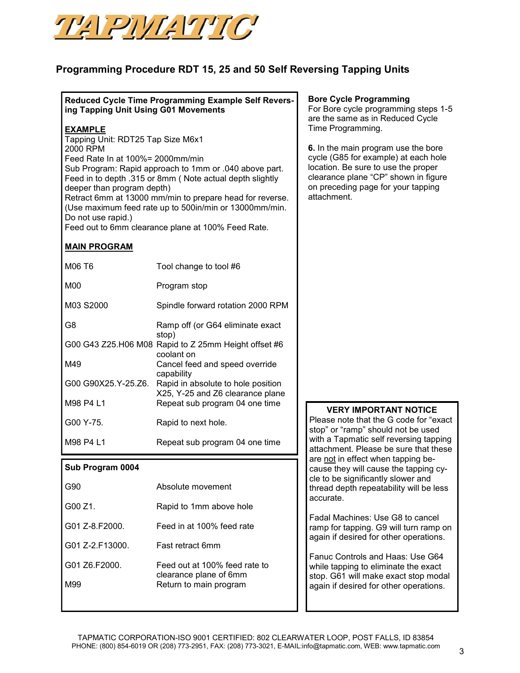

# **Programming Procedure RDT 15, 25 and 50 Self Reversing Tapping Units**

## **Reduced Cycle Time Programming Example Self Reversing Tapping Unit Using G01 Movements**

### **EXAMPLE**

Tapping Unit: RDT25 Tap Size M6x1 2000 RPM Feed Rate In at 100%= 2000mm/min Sub Program: Rapid approach to 1mm or .040 above part. Feed in to depth .315 or 8mm ( Note actual depth slightly deeper than program depth) Retract 6mm at 13000 mm/min to prepare head for reverse. (Use maximum feed rate up to 500in/min or 13000mm/min. Do not use rapid.)

Feed out to 6mm clearance plane at 100% Feed Rate.

## **MAIN PROGRAM**

| M06 T6                | Tool change to tool #6                                             |
|-----------------------|--------------------------------------------------------------------|
| M <sub>0</sub>        | Program stop                                                       |
| M03 S2000             | Spindle forward rotation 2000 RPM                                  |
| G8                    | Ramp off (or G64 eliminate exact                                   |
| G00 G43 Z25.H06 M08   | stop)<br>Rapid to Z 25mm Height offset #6<br>coolant on            |
| M49                   | Cancel feed and speed override                                     |
| G00 G90X25.Y-25.Z6.   | capability<br>Rapid in absolute to hole position                   |
| M98 P4 L1             | X25, Y-25 and Z6 clearance plane<br>Repeat sub program 04 one time |
| G <sub>00</sub> Y-75. | Rapid to next hole.                                                |
| M98 P4 L1             | Repeat sub program 04 one time                                     |

## **Sub Program 0004**

| Absolute movement                                       |
|---------------------------------------------------------|
| Rapid to 1mm above hole                                 |
| Feed in at 100% feed rate                               |
| <b>East retract 6mm</b>                                 |
| Feed out at 100% feed rate to<br>clearance plane of 6mm |
| Return to main program                                  |
|                                                         |

#### **Bore Cycle Programming**

For Bore cycle programming steps 1-5 are the same as in Reduced Cycle Time Programming.

**6.** In the main program use the bore cycle (G85 for example) at each hole location. Be sure to use the proper clearance plane "CP" shown in figure on preceding page for your tapping attachment.

### **VERY IMPORTANT NOTICE**

Please note that the G code for "exact stop" or "ramp" should not be used with a Tapmatic self reversing tapping attachment. Please be sure that these are not in effect when tapping because they will cause the tapping cycle to be significantly slower and thread depth repeatability will be less accurate.

Fadal Machines: Use G8 to cancel ramp for tapping. G9 will turn ramp on again if desired for other operations.

Fanuc Controls and Haas: Use G64 while tapping to eliminate the exact stop. G61 will make exact stop modal again if desired for other operations.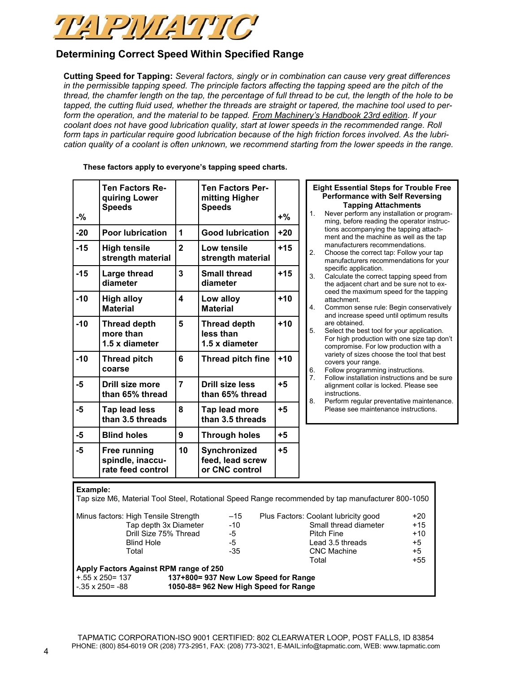

# **Determining Correct Speed Within Specified Range**

**Cutting Speed for Tapping:** *Several factors, singly or in combination can cause very great differences in the permissible tapping speed. The principle factors affecting the tapping speed are the pitch of the thread, the chamfer length on the tap, the percentage of full thread to be cut, the length of the hole to be tapped, the cutting fluid used, whether the threads are straight or tapered, the machine tool used to perform the operation, and the material to be tapped. From Machinery's Handbook 23rd edition. If your coolant does not have good lubrication quality, start at lower speeds in the recommended range. Roll form taps in particular require good lubrication because of the high friction forces involved. As the lubrication quality of a coolant is often unknown, we recommend starting from the lower speeds in the range.*

| $-$ % | Ten Factors Re-<br>quiring Lower<br><b>Speeds</b>     |                | <b>Ten Factors Per-</b><br>mitting Higher<br><b>Speeds</b> | $+$ % | 1.               | Eight<br>Per<br>Ne<br>mir       |
|-------|-------------------------------------------------------|----------------|------------------------------------------------------------|-------|------------------|---------------------------------|
| $-20$ | <b>Poor lubrication</b>                               | 1              | <b>Good lubrication</b>                                    | $+20$ |                  | tior<br>me                      |
| $-15$ | <b>High tensile</b><br>strength material              | $\overline{2}$ | Low tensile<br>strength material                           | $+15$ | 2.               | ma<br>Ch<br>ma                  |
| $-15$ | Large thread<br>diameter                              | 3              | <b>Small thread</b><br>diameter                            | $+15$ | 3.               | spe<br>Ca<br>the                |
| $-10$ | <b>High alloy</b><br><b>Material</b>                  | 4              | Low alloy<br><b>Material</b>                               | $+10$ | 4.               | cee<br>atta<br>Co               |
| $-10$ | <b>Thread depth</b><br>more than<br>1.5 x diameter    | 5              | <b>Thread depth</b><br>less than<br>1.5 x diameter         | $+10$ | 5.               | and<br>are<br>Sel<br>For<br>cor |
| $-10$ | <b>Thread pitch</b><br>coarse                         | 6              | Thread pitch fine                                          | $+10$ | 6.               | var<br>CO <sub>\</sub><br>Fol   |
| $-5$  | Drill size more<br>than 65% thread                    | $\overline{7}$ | <b>Drill size less</b><br>than 65% thread                  | $+5$  | $\overline{7}$ . | Fol<br>alig<br>ins              |
| -5    | <b>Tap lead less</b><br>than 3.5 threads              | 8              | Tap lead more<br>than 3.5 threads                          | $+5$  | 8.               | Pe<br>Ple                       |
| -5    | <b>Blind holes</b>                                    | 9              | <b>Through holes</b>                                       | $+5$  |                  |                                 |
| -5    | Free running<br>spindle, inaccu-<br>rate feed control | 10             | Synchronized<br>feed, lead screw<br>or CNC control         | $+5$  |                  |                                 |

**These factors apply to everyone's tapping speed charts.**

#### **Essential Steps for Trouble Free formance with Self Reversing Tapping Attachments** ver perform any installation or programng, before reading the operator instrucis accompanying the tapping attachent and the machine as well as the tap manufacturers recommendations.

- oose the correct tap: Follow your tap manufacturers recommendations for your ecific application.
- culate the correct tapping speed from adjacent chart and be sure not to exed the maximum speed for the tapping achment
- mmon sense rule: Begin conservatively d increase speed until optimum results obtained
- lect the best tool for your application. figh production with one size tap don't mpromise. For low production with a iety of sizes choose the tool that best vers your range.
- llow programming instructions. Ilow installation instructions and be sure anment collar is locked. Please see tructions.
- rform regular preventative maintenance. ase see maintenance instructions.

### **Example:** Tap size M6, Material Tool Steel, Rotational Speed Range recommended by tap manufacturer 800-1050 Minus factors: High Tensile Strength  $-15$  Plus Factors: Coolant lubricity good  $+20$ Tap depth 3x Diameter  $-10$  Small thread diameter  $+15$ Drill Size 75% Thread  $-5$  Pitch Fine  $+10$ Blind Hole **-5** Lead 3.5 threads +5 Total  $-35$  CNC Machine  $+5$  Total +55 **Apply Factors Against RPM range of 250** +.55 x 250= 137 **137+800= 937 New Low Speed for Range** -.35 x 250= -88 **1050-88= 962 New High Speed for Range**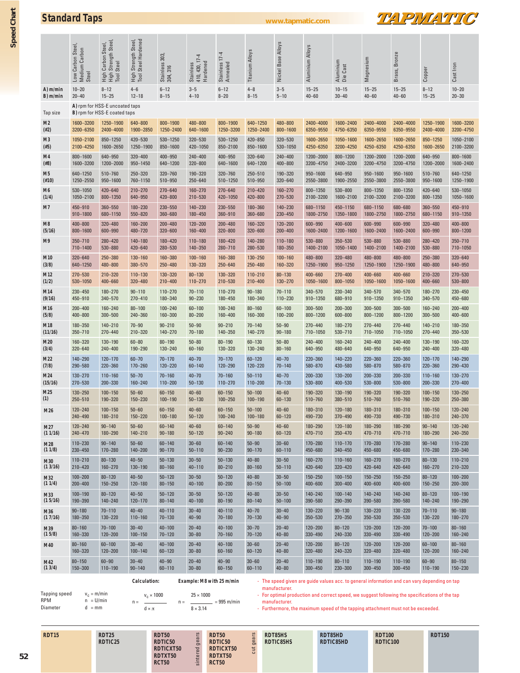| <b>Standard Taps</b> |  |  |
|----------------------|--|--|
|                      |  |  |

**Standard Taps www.tapmatic.com**



|                | Carbon Steel<br>Low Carbon Stee<br>Medium Carbon<br>Steel | High Carbon Steel,<br>High Strength Steel,<br>Tool Steel       | High Strength Steel,<br>Tool Steel Hardened | Stainless 303,<br>304, 316           | Stainless<br>410, 430, 17-4<br>Hardened | Stainless 17-4<br>Annealed       | <b>Titanium Alloys</b>                   | Nickel Base Alloys                                                                                                            | Aluminium Alloys              | Aluminium<br>Die Cast  | Magnesium               | Bronze<br>Brass,              | Copper                            | Cast Iron                     |
|----------------|-----------------------------------------------------------|----------------------------------------------------------------|---------------------------------------------|--------------------------------------|-----------------------------------------|----------------------------------|------------------------------------------|-------------------------------------------------------------------------------------------------------------------------------|-------------------------------|------------------------|-------------------------|-------------------------------|-----------------------------------|-------------------------------|
| A) m/min       | $10 - 20$                                                 | $8 - 12$                                                       | $4 - 6$                                     | $6 - 12$                             | $3 - 5$                                 | $6 - 12$                         | $4 - 8$                                  | $3 - 5$                                                                                                                       | $15 - 25$                     | $10 - 15$              | $15 - 25$               | $15 - 25$                     | $8 - 12$                          | $10 - 20$                     |
| B) m/min       | $20 - 40$                                                 | $15 - 25$                                                      | $12 - 18$                                   | $8 - 15$                             | $4 - 10$                                | $8 - 20$                         | $8 - 15$                                 | $5 - 10$                                                                                                                      | $40 - 60$                     | $30 - 40$              | $40 - 60$               | $40 - 60$                     | $15 - 25$                         | $20 - 30$                     |
| Tap size       |                                                           | A) rpm for HSS-E uncoated taps<br>B) rpm for HSS-E coated taps |                                             |                                      |                                         |                                  |                                          |                                                                                                                               |                               |                        |                         |                               |                                   |                               |
| M2             | 1600-3200                                                 | 1250-1900                                                      | 640-800                                     | 800-1900                             | 480-800                                 | 800-1900                         | 640-1250                                 | 480-800                                                                                                                       | 2400-4000                     | 1600-2400              | 2400-4000               | 2400-4000                     | 1250-1900                         | 1600-3200                     |
| (#2)           | 3200-6350                                                 | 2400-4000                                                      | 1900-2850                                   | 1250-2400                            | 640-1600                                | 1250-3200                        | 1250-2400                                | 800-1600                                                                                                                      | 6350-9550                     | 4750-6350              | 6350-9550               | 6350-9550                     | 2400-4000                         | 3200-4750                     |
| M3             | 1050-2100                                                 | 850-1250                                                       | 420-530                                     | 530-1250                             | 320-530                                 | 530-1250                         | 420-850                                  | 320-530                                                                                                                       | 1600-2650                     | 1050-1600              | 1600-2650               | 1600-2650                     | 850-1250                          | 1050-2100                     |
| (#5)           | 2100-4250                                                 | 1600-2650                                                      | 1250-1900                                   | 850-1600                             | 420-1050                                | 850-2100                         | 850-1600                                 | 530-1050                                                                                                                      | 4250-6350                     | 3200-4250              | 4250-6350               | 4250-6350                     | 1600-2650                         | 2100-3200                     |
| M4             | 800-1600                                                  | 640-950                                                        | $320 - 400$                                 | 400-950                              | $240 - 400$                             | 400-950                          | 320-640                                  | $240 - 400$                                                                                                                   | 1200-2000                     | 800-1200               | 1200-2000               | 1200-2000                     | 640-950                           | 800-1600                      |
| (#8)           | 1600-3200                                                 | 1200-2000                                                      | 950-1450                                    | 640-1200                             | 320-800                                 | 640-1600                         | 640-1200                                 | $400 - 800$                                                                                                                   | 3200-4750                     | 2400-3200              | 3200-4750               | 3200-4750                     | 1200-2000                         | 1600-2400                     |
| M5             | 640-1250                                                  | 510-760                                                        | 250-320                                     | 320-760                              | 190-320                                 | 320-760                          | 250-510                                  | 190-320                                                                                                                       | 950-1600                      | 640-950                | 950-1600                | 950-1600                      | 510-760                           | 640-1250                      |
| (#10)          | 1250-2550                                                 | 950-1600                                                       | 760-1150                                    | 510-950                              | 250-640                                 | 510-1250                         | 510-950                                  | 320-640                                                                                                                       | 2550-3800                     | 1900-2550              | 2550-3800               | 2550-3800                     | 950-1600                          | 1250-1900                     |
| M6             | 530-1050                                                  | 420-640                                                        | $210 - 270$                                 | $270 - 640$                          | $160 - 270$                             | 270-640                          | $210 - 420$                              | 160-270                                                                                                                       | 800-1350                      | 530-800                | 800-1350                | 800-1350                      | 420-640                           | 530-1050                      |
| (1/4)          | 1050-2100                                                 | 800-1350                                                       | 640-950                                     | 420-800                              | 210-530                                 | 420-1050                         | 420-800                                  | 270-530                                                                                                                       | 2100-3200                     | 1600-2100              | 2100-3200               | 2100-3200                     | 800-1350                          | 1050-1600                     |
| M7             | 450-910                                                   | 360-550                                                        | 180-230                                     | 230-550                              | $140 - 230$                             | 230-550                          | 180-360                                  | 140-230                                                                                                                       | 680-1150                      | 450-1150               | 680-1150                | 680-680                       | 360-550                           | 450-910                       |
|                | 910-1800                                                  | 680-1150                                                       | 550-820                                     | 360-680                              | 180-450                                 | 360-910                          | 360-680                                  | $230 - 450$                                                                                                                   | 1800-2750                     | 1350-1800              | 1800-2750               | 1800-2750                     | 680-1150                          | 910-1350                      |
| M8             | 400-800                                                   | 320-480                                                        | 160-200                                     | $200 - 480$                          | $120 - 200$                             | $200 - 480$                      | 160-320                                  | 120-200                                                                                                                       | 600-990                       | $400 - 600$            | 600-990                 | 600-990                       | 320-480                           | $400 - 800$                   |
| (5/16)         | 800-1600                                                  | 600-990                                                        | 480-720                                     | 320-600                              | 160-400                                 | $320 - 800$                      | $320 - 600$                              | $200 - 400$                                                                                                                   | 1600-2400                     | 1200-1600              | 1600-2400               | 1600-2400                     | 600-990                           | 800-1200                      |
| M9             | $350 - 710$                                               | 280-420                                                        | 140-180                                     | 180-420                              | $110 - 180$                             | 180-420                          | $140 - 280$                              | $110 - 180$                                                                                                                   | 530-880                       | 350-530                | 530-880                 | 530-880                       | 280-420                           | $350 - 710$                   |
|                | 710-1400                                                  | 530-880                                                        | 420-640                                     | 280-530                              | 140-350                                 | 280-710                          | 280-530                                  | 180-350                                                                                                                       | 1400-2100                     | 1050-1400              | 1400-2100               | 1400-2100                     | 530-880                           | 710-1050                      |
| M10            | 320-640                                                   | 250-380                                                        | 130-160                                     | 160-380                              | $100 - 160$                             | 160-380                          | 130-250                                  | $100 - 160$                                                                                                                   | 480-800                       | 320-480                | 480-800                 | 480-800                       | 250-380                           | 320-640                       |
| (3/8)          | 640-1250                                                  | 480-800                                                        | 380-570                                     | 250-480                              | 130-320                                 | 250-640                          | $250 - 480$                              | 160-320                                                                                                                       | 1250-1900                     | 950-1250               | 1250-1900               | 1250-1900                     | 480-800                           | 640-950                       |
| M12            | 270-530                                                   | 210-320                                                        | $110 - 130$                                 | 130-320                              | $80 - 130$                              | 130-320                          | $110 - 210$                              | $80 - 130$                                                                                                                    | 400-660                       | $270 - 400$            | 400-660                 | 400-660                       | 210-320                           | 270-530                       |
| (1/2)          | 530-1050                                                  | 400-660                                                        | 320-480                                     | $210 - 400$                          | $110 - 270$                             | 210-530                          | $210 - 400$                              | $130 - 270$                                                                                                                   | 1050-1600                     | 800-1050               | 1050-1600               | 1050-1600                     | 400-660                           | 530-800                       |
| M14            | 230-450                                                   | $180 - 270$                                                    | $90 - 110$                                  | $110 - 270$                          | $70 - 110$                              | $110 - 270$                      | $90 - 180$                               | $70 - 110$                                                                                                                    | 340-570                       | 230-340                | 340-570                 | 340-570                       | 180-270                           | 230-450                       |
| (9/16)         | 450-910                                                   | 340-570                                                        | $270 - 410$                                 | 180-340                              | $90 - 230$                              | 180-450                          | 180-340                                  | $110 - 230$                                                                                                                   | 910-1350                      | 680-910                | 910-1350                | 910-1350                      | 340-570                           | 450-680                       |
| M16            | $200 - 400$                                               | $160 - 240$                                                    | $80 - 100$                                  | $100 - 240$                          | $60 - 100$                              | $100 - 240$                      | $80 - 160$                               | $60 - 100$                                                                                                                    | $300 - 500$                   | $200 - 300$            | $300 - 500$             | $300 - 500$                   | 160-240                           | $200 - 400$                   |
| (5/8)          | 400-800                                                   | $300 - 500$                                                    | 240-360                                     | 160-300                              | $80 - 200$                              | 160-400                          | 160-300                                  | $100 - 200$                                                                                                                   | 800-1200                      | 600-800                | 800-1200                | 800-1200                      | $300 - 500$                       | $400 - 600$                   |
| M18            | 180-350<br>$350 - 710$                                    | 140-210                                                        | $70 - 90$<br>210-320                        | $90 - 210$<br>$140 - 270$            | $50 - 90$                               | $90 - 210$<br>140-350            | $70 - 140$                               | $50 - 90$                                                                                                                     | 270-440                       | 180-270                | 270-440                 | $270 - 440$                   | $140 - 210$                       | 180-350<br>350-530            |
| (11/16)<br>M20 | 160-320                                                   | $270 - 440$<br>130-190                                         | $60 - 80$                                   | $80 - 190$                           | $70 - 180$<br>$50 - 80$                 | $80 - 190$                       | $140 - 270$<br>$60 - 130$                | $90 - 180$<br>$50 - 80$                                                                                                       | 710-1050<br>$240 - 400$       | 530-710<br>160-240     | 710-1050<br>$240 - 400$ | 710-1050<br>$240 - 400$       | 270-440<br>130-190                | 160-320                       |
| (3/4)<br>M22   | 320-640<br>140-290<br>290-580                             | 240-400<br>$120 - 170$<br>220-360                              | 190-290<br>$60 - 70$<br>170-260             | 130-240<br>$70 - 170$<br>$120 - 220$ | $60 - 160$<br>$40 - 70$<br>$60 - 140$   | 130-320<br>$70 - 170$<br>120-290 | $130 - 240$<br>$60 - 120$<br>$120 - 220$ | $80 - 160$<br>$40 - 70$<br>$70 - 140$                                                                                         | 640-950<br>220-360<br>580-870 | 480-640<br>$140 - 220$ | 640-950<br>220-360      | 640-950<br>220-360<br>580-870 | 240-400<br>$120 - 170$<br>220-360 | 320-480<br>140-290<br>290-430 |
| (7/8)<br>M24   | $130 - 270$                                               | $110 - 160$                                                    | $50 - 70$                                   | $70 - 160$                           | $40 - 70$                               | $70 - 160$                       | $50 - 110$                               | $40 - 70$                                                                                                                     | 200-330                       | 430-580<br>$130 - 200$ | 580-870<br>200-330      | 200-330                       | $110 - 160$                       | $130 - 270$                   |
| (15/16)        | 270-530                                                   | 200-330                                                        | $160 - 240$                                 | $110 - 200$                          | $50 - 130$                              | $110 - 270$                      | $110 - 200$                              | $70 - 130$                                                                                                                    | 530-800                       | 400-530                | 530-800                 | 530-800                       | 200-330                           | $270 - 400$                   |
| M25            | $130 - 250$                                               | $100 - 150$                                                    | $50 - 60$                                   | $60 - 150$                           | $40 - 60$                               | $60 - 150$                       | $50 - 100$                               | $40 - 60$                                                                                                                     | 190-320                       | 130-190                | 190-320                 | 190-320                       | $100 - 150$                       | 130-250                       |
| (1)            | 250-510                                                   | 190-320                                                        | 150-230                                     | $100 - 190$                          | $50 - 130$                              | $100 - 250$                      | $100 - 190$                              | $60 - 130$                                                                                                                    | 510-760                       | 380-510                | 510-760                 | 510-760                       | 190-320                           | 250-380                       |
| M26            | $120 - 240$                                               | $100 - 150$                                                    | $50 - 60$                                   | $60 - 150$                           | $40 - 60$                               | $60 - 150$                       | $50 - 100$                               | $40 - 60$                                                                                                                     | 180-310                       | $120 - 180$            | 180-310                 | 180-310                       | $100 - 150$                       | $120 - 240$                   |
| M27            | 240-490                                                   | 180-310                                                        | $150 - 220$                                 | $100 - 180$                          | $50 - 120$                              | $100 - 240$                      | $100 - 180$                              | $60 - 120$                                                                                                                    | 490-730                       | $370 - 490$            | 490-730                 | 490-730                       | 180-310                           | 240-370                       |
|                | 120-240                                                   | $90 - 140$                                                     | $50 - 60$                                   | $60 - 140$                           | $40 - 60$                               | $60 - 140$                       | $50 - 90$                                | $40 - 60$                                                                                                                     | 180-290                       | $120 - 180$            | 180-290                 | 180-290                       | $90 - 140$                        | $120 - 240$                   |
| (11/16)        | 240-470                                                   | 180-290                                                        | $140 - 210$                                 | $90 - 180$                           | $50 - 120$                              | $90 - 240$                       | $90 - 180$                               | $60 - 120$                                                                                                                    | 470-710                       | $350 - 470$            | 470-710                 | 470-710                       | 180-290                           | 240-350                       |
| M28            | 110-230                                                   | $90 - 140$                                                     | $50 - 60$                                   | $60 - 140$                           | $30 - 60$                               | $60 - 140$                       | $50 - 90$                                | $30 - 60$                                                                                                                     | 170-280                       | $110 - 170$            | $170 - 280$             | $170 - 280$                   | $90 - 140$                        | $110 - 230$                   |
| (11/8)         | 230-450                                                   | 170-280                                                        | $140 - 200$                                 | $90 - 170$                           | $50 - 110$                              | $90 - 230$                       | $90 - 170$                               | $60 - 110$                                                                                                                    | 450-680                       | 340-450                | 450-680                 | 450-680                       | 170-280                           | 230-340                       |
| M30            | $110 - 210$                                               | $80 - 130$                                                     | $40 - 50$                                   | $50 - 130$                           | $30 - 50$                               | $50 - 130$                       | $40 - 80$                                | $30 - 50$                                                                                                                     | $160 - 270$                   | $110 - 160$            | 160-270                 | $160 - 270$                   | $80 - 130$                        | $110 - 210$                   |
| (13/16)        | 210-420                                                   | $160 - 270$                                                    | 130-190                                     | $80 - 160$                           | $40 - 110$                              | $80 - 210$                       | $80 - 160$                               | $50 - 110$                                                                                                                    | 420-640                       | 320-420                | 420-640                 | 420-640                       | $160 - 270$                       | 210-320                       |
|                | $100 - 200$                                               | $80 - 120$                                                     | $40 - 50$                                   | $50 - 120$                           | $30 - 50$                               | $50 - 120$                       | $40 - 80$                                | $30 - 50$                                                                                                                     | $150 - 250$                   | $100 - 150$            | $150 - 250$             | 150-250                       | $80 - 120$                        | $100 - 200$                   |
| M32<br>(11/4)  | $200 - 400$                                               | $150 - 250$                                                    | $120 - 180$                                 | $80 - 150$                           | $40 - 100$                              | $80 - 200$                       | $80 - 150$                               | $50 - 100$                                                                                                                    | $400 - 600$                   | $300 - 400$            | $400 - 600$             | 400-600                       | $150 - 250$                       | $200 - 300$                   |
| M33            | $100 - 190$                                               | $80 - 120$                                                     | $40 - 50$                                   | $50 - 120$                           | $30 - 50$                               | $50 - 120$                       | $40 - 80$                                | $30 - 50$                                                                                                                     | $140 - 240$                   | $100 - 140$            | $140 - 240$             | $140 - 240$                   | $80 - 120$                        | $100 - 190$                   |
| (15/16)        | 190-390                                                   | $140 - 240$                                                    | $120 - 170$                                 | $80 - 140$                           | $40 - 100$                              | $80 - 190$                       | $80 - 140$                               | $50 - 100$                                                                                                                    | 390-580                       | 290-390                | 390-580                 | 390-580                       | $140 - 240$                       | 190-290                       |
| M36            | $90 - 180$                                                | $70 - 110$                                                     | $40 - 40$                                   | $40 - 110$                           | $30 - 40$                               | $40 - 110$                       | $40 - 70$                                | $30 - 40$                                                                                                                     | 130-220                       | $90 - 130$             | 130-220                 | 130 - 220                     | $70 - 110$                        | $90 - 180$                    |
| (17/16)        | 180-350                                                   | 130-220                                                        | $110 - 160$                                 | $70 - 130$                           | $40 - 90$                               | $70 - 180$                       | $70 - 130$                               | $40 - 90$                                                                                                                     | 350-530                       | 270-350                | 350-530                 | 350-530                       | 130-220                           | 180-270                       |
| M39            | $80 - 160$                                                | $70 - 100$                                                     | $30 - 40$                                   | $40 - 100$                           | $20 - 40$                               | $40 - 100$                       | $30 - 70$                                | $20 - 40$                                                                                                                     | $120 - 200$                   | $80 - 120$             | $120 - 200$             | $120 - 200$                   | $70 - 100$                        | $80 - 160$                    |
| (15/8)         | 160-330                                                   | $120 - 200$                                                    | $100 - 150$                                 | $70 - 120$                           | $30 - 80$                               | $70 - 160$                       | $70 - 120$                               | $40 - 80$                                                                                                                     | 330-490                       | 240-330                | 330-490                 | 330-490                       | $120 - 200$                       | $160 - 240$                   |
| M40            | $80 - 160$                                                | $60 - 100$                                                     | $30 - 40$                                   | $40 - 100$                           | $20 - 40$                               | $40 - 100$                       | $30 - 60$                                | $20 - 40$                                                                                                                     | $120 - 200$                   | $80 - 120$             | $120 - 200$             | $120 - 200$                   | $60 - 100$                        | $80 - 160$                    |
|                | 160-320                                                   | $120 - 200$                                                    | $100 - 140$                                 | $60 - 120$                           | $30 - 80$                               | $60 - 160$                       | $60 - 120$                               | $40 - 80$                                                                                                                     | 320-480                       | 240-320                | $320 - 480$             | 320-480                       | $120 - 200$                       | $160 - 240$                   |
| M42            | $80 - 150$                                                | $60 - 90$                                                      | $30 - 40$                                   | $40 - 90$                            | $20 - 40$                               | $40 - 90$                        | $30 - 60$                                | $20 - 40$                                                                                                                     | $110 - 190$                   | $80 - 110$             | $110 - 190$             | $110 - 190$                   | $60 - 90$                         | $80 - 150$                    |
| (13/4)         | 150-300                                                   | $110 - 190$                                                    | $90 - 140$                                  | $60 - 110$                           | $30 - 80$                               | $60 - 150$                       | $60 - 110$                               | $40 - 80$                                                                                                                     | $300 - 450$                   | 230-300                | $300 - 450$             | $300 - 450$                   | $110 - 190$                       | 150-230                       |
|                |                                                           |                                                                | Calculation:                                |                                      |                                         |                                  |                                          | <b>Example:</b> M8 with 25 m/min - The speed given are quide values acc. to general information and can vary depending on tap |                               |                        |                         |                               |                                   |                               |

**Example: M8 with 25 m/min**

- The speed given are guide values acc. to general information and can vary depending on tap manufacturer.

Tapping speed  $v_c = m/min$ <br>RPM  $n = U/min$ Diameter d = mm  $v_{\rm c}\times 1000$  $n =$  $\frac{}{\mathsf{d}\times\pi}%\mathsf{d}\times\mathsf{d}\mathsf{d}\times\mathsf{d}\mathsf{d}\times\mathsf{d}\mathsf{d}\times\mathsf{d}\mathsf{d}\times\mathsf{d}\mathsf{d}\times\mathsf{d}\mathsf{d}\times\mathsf{d}\mathsf{d}\times\mathsf{d}\mathsf{d}\times\mathsf{d}\mathsf{d}\times\mathsf{d}\mathsf{d}\times\mathsf{d}\mathsf{d}\times\mathsf{d}\mathsf{d}\times\mathsf{d}\mathsf{d}\times\mathsf{d}\mathsf{d}\times\mathsf{d}\mathsf{d}\times\mathsf{d}\mathsf{d}\times\mathsf{d}\mathsf$  $25 \times 1000$ 

 $n =$  = 995 m/min  $\frac{}{8 \times 3.14}$ 

- For optimal production and correct speed, we suggest following the specifications of the tap manufacturer. - Furthermore, the maximum speed of the tapping attachment must not be exceeded.

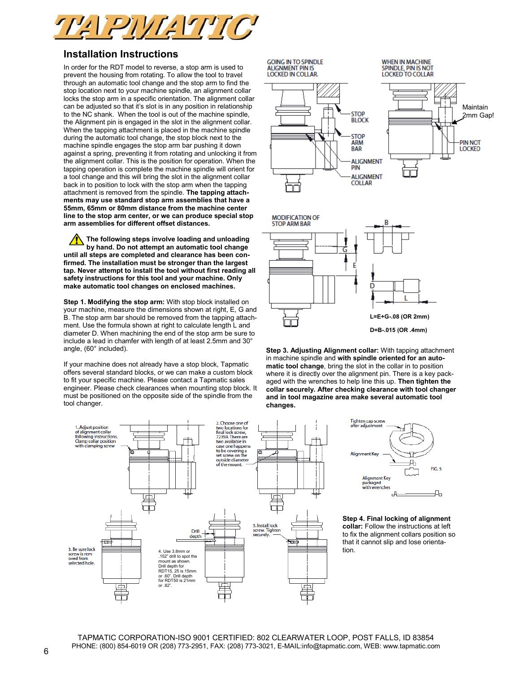

## **Installation Instructions**

In order for the RDT model to reverse, a stop arm is used to prevent the housing from rotating. To allow the tool to travel through an automatic tool change and the stop arm to find the stop location next to your machine spindle, an alignment collar locks the stop arm in a specific orientation. The alignment collar can be adjusted so that it's slot is in any position in relationship to the NC shank. When the tool is out of the machine spindle, the Alignment pin is engaged in the slot in the alignment collar. When the tapping attachment is placed in the machine spindle during the automatic tool change, the stop block next to the machine spindle engages the stop arm bar pushing it down against a spring, preventing it from rotating and unlocking it from the alignment collar. This is the position for operation. When the tapping operation is complete the machine spindle will orient for a tool change and this will bring the slot in the alignment collar back in to position to lock with the stop arm when the tapping attachment is removed from the spindle. **The tapping attachments may use standard stop arm assemblies that have a 55mm, 65mm or 80mm distance from the machine center line to the stop arm center, or we can produce special stop arm assemblies for different offset distances.**

**The following steps involve loading and unloading by hand. Do not attempt an automatic tool change until all steps are completed and clearance has been confirmed. The installation must be stronger than the largest tap. Never attempt to install the tool without first reading all safety instructions for this tool and your machine. Only make automatic tool changes on enclosed machines.**

**Step 1. Modifying the stop arm:** With stop block installed on your machine, measure the dimensions shown at right, E, G and B. The stop arm bar should be removed from the tapping attachment. Use the formula shown at right to calculate length L and diameter D. When machining the end of the stop arm be sure to include a lead in chamfer with length of at least 2.5mm and 30° angle, (60° included).

If your machine does not already have a stop block, Tapmatic offers several standard blocks, or we can make a custom block to fit your specific machine. Please contact a Tapmatic sales engineer. Please check clearances when mounting stop block. It must be positioned on the opposite side of the spindle from the tool changer.



**GOING IN TO SPINDLE ALIGNMENT PIN IS** 

LOCKED IN COLLAR



**WHEN IN MACHINE SPINDLE, PIN IS NOT LOCKED TO COLLAR** 





**Step 3. Adjusting Alignment collar:** With tapping attachment in machine spindle and **with spindle oriented for an automatic tool change**, bring the slot in the collar in to position where it is directly over the alignment pin. There is a key packaged with the wrenches to help line this up. **Then tighten the collar securely. After checking clearance with tool changer and in tool magazine area make several automatic tool changes.**



**Step 4. Final locking of alignment collar:** Follow the instructions at left to fix the alignment collars position so that it cannot slip and lose orientation.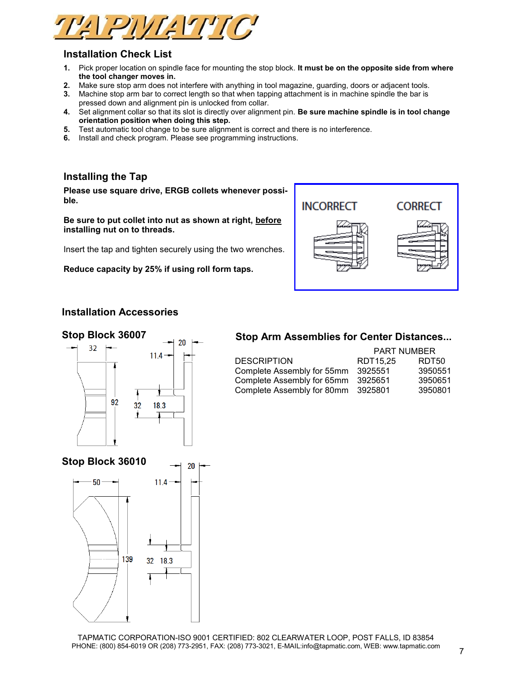

# **Installation Check List**

- **1.** Pick proper location on spindle face for mounting the stop block. **It must be on the opposite side from where the tool changer moves in.**
- **2.** Make sure stop arm does not interfere with anything in tool magazine, guarding, doors or adjacent tools.
- **3.** Machine stop arm bar to correct length so that when tapping attachment is in machine spindle the bar is pressed down and alignment pin is unlocked from collar.
- **4.** Set alignment collar so that its slot is directly over alignment pin. **Be sure machine spindle is in tool change orientation position when doing this step.**
- **5.** Test automatic tool change to be sure alignment is correct and there is no interference.
- **6.** Install and check program. Please see programming instructions.

# **Installing the Tap**

**Please use square drive, ERGB collets whenever possible.**

**Be sure to put collet into nut as shown at right, before installing nut on to threads.**

Insert the tap and tighten securely using the two wrenches.

**Reduce capacity by 25% if using roll form taps.**



## **Installation Accessories**

## **Stop Block 36007**



# **Stop Arm Assemblies for Center Distances...**

|                            | <b>PART NUMBER</b> |         |  |  |
|----------------------------|--------------------|---------|--|--|
| <b>DESCRIPTION</b>         | RDT15.25           | RDT50   |  |  |
| Complete Assembly for 55mm | 3925551            | 3950551 |  |  |
| Complete Assembly for 65mm | 3925651            | 3950651 |  |  |
| Complete Assembly for 80mm | 3925801            | 3950801 |  |  |

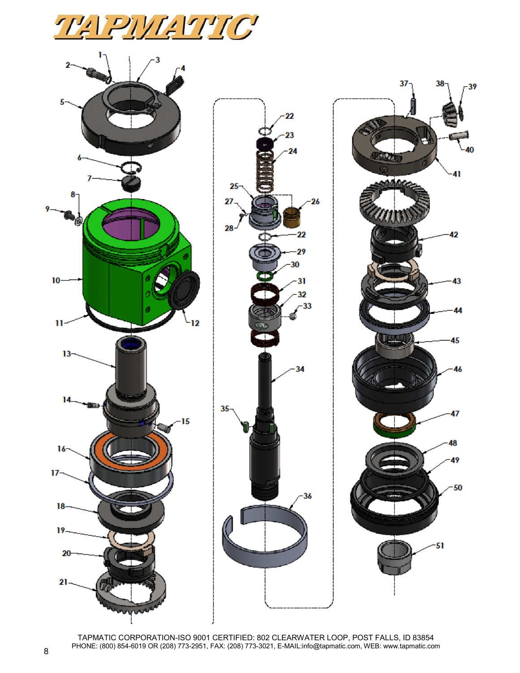



TAPMATIC CORPORATION-ISO 9001 CERTIFIED: 802 CLEARWATER LOOP, POST FALLS, ID 83854 PHONE: (800) 854-6019 OR (208) 773-2951, FAX: (208) 773-3021, E-MAIL:info@tapmatic.com, WEB: www.tapmatic.com <sup>8</sup>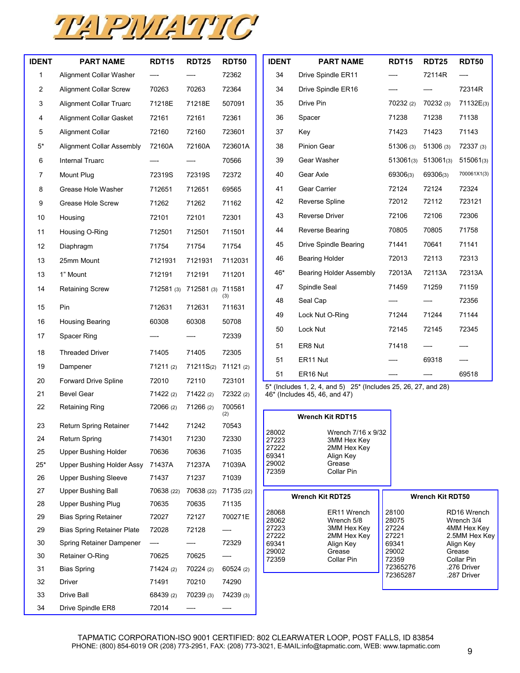

| <b>IDENT</b>   | <b>PART NAME</b>                                       | <b>RDT15</b>        | <b>RDT25</b>                 | <b>RDT50</b>        | <b>IDENT</b>   | <b>PART NAME</b>                                               | <b>RDT15</b>      | <b>RDT25</b>            | <b>RDT50</b>               |
|----------------|--------------------------------------------------------|---------------------|------------------------------|---------------------|----------------|----------------------------------------------------------------|-------------------|-------------------------|----------------------------|
| 1              | Alignment Collar Washer                                |                     |                              | 72362               | 34             | Drive Spindle ER11                                             |                   | 72114R                  |                            |
| $\overline{c}$ | <b>Alignment Collar Screw</b>                          | 70263               | 70263                        | 72364               | 34             | Drive Spindle ER16                                             |                   |                         | 72314R                     |
| 3              | <b>Alignment Collar Truarc</b>                         | 71218E              | 71218E                       | 507091              | 35             | Drive Pin                                                      |                   | 70232 (3)               | 71132E(3)                  |
| 4              | <b>Alignment Collar Gasket</b>                         | 72161               | 72161                        | 72361               | 36             | Spacer                                                         | 71238             | 71238                   | 71138                      |
| 5              | <b>Alignment Collar</b>                                | 72160               | 72160                        | 723601              | 37             | Key                                                            | 71423             | 71423                   | 71143                      |
| $5^\star$      | <b>Alignment Collar Assembly</b>                       | 72160A              | 72160A                       | 723601A             | 38             | Pinion Gear                                                    | 51306(3)          | 51306(3)                | 72337(3)                   |
| 6              | Internal Truarc                                        |                     |                              | 70566               | 39             | Gear Washer                                                    |                   | 513061(3) 513061(3)     | 515061(3)                  |
| $\overline{7}$ | Mount Plug                                             | 72319S              | 72319S                       | 72372               | 40             | Gear Axle                                                      | 69306(3)          | 69306(3)                | 700061X1(3)                |
| 8              | Grease Hole Washer                                     | 712651              | 712651                       | 69565               | 41             | Gear Carrier                                                   | 72124             | 72124                   | 72324                      |
| 9              | Grease Hole Screw                                      | 71262               | 71262                        | 71162               | 42             | Reverse Spline                                                 | 72012             | 72112                   | 723121                     |
| 10             | Housing                                                | 72101               | 72101                        | 72301               | 43             | Reverse Driver                                                 | 72106             | 72106                   | 72306                      |
| 11             | Housing O-Ring                                         | 712501              | 712501                       | 711501              | 44             | Reverse Bearing                                                | 70805             | 70805                   | 71758                      |
| 12             | Diaphragm                                              | 71754               | 71754                        | 71754               | 45             | Drive Spindle Bearing                                          | 71441             | 70641                   | 71141                      |
| 13             | 25mm Mount                                             | 7121931             | 7121931                      | 7112031             | 46             | <b>Bearing Holder</b>                                          | 72013             | 72113                   | 72313                      |
| 13             | 1" Mount                                               | 712191              | 712191                       | 711201              | 46*            | <b>Bearing Holder Assembly</b>                                 | 72013A            | 72113A                  | 72313A                     |
| 14             | <b>Retaining Screw</b>                                 |                     | 712581 (3) 712581 (3) 711581 |                     | 47             | Spindle Seal                                                   | 71459             | 71259                   | 71159                      |
|                |                                                        |                     |                              | (3)                 | 48             | Seal Cap                                                       |                   |                         | 72356                      |
| 15             | Pin                                                    | 712631              | 712631                       | 711631              | 49             | Lock Nut O-Ring                                                | 71244             | 71244                   | 71144                      |
| 16             | <b>Housing Bearing</b>                                 | 60308               | 60308                        | 50708               | 50             | Lock Nut                                                       |                   | 72145                   | 72345                      |
| 17             | Spacer Ring                                            |                     |                              | 72339               | 51             | ER8 Nut                                                        | 71418             |                         |                            |
| 18             | <b>Threaded Driver</b>                                 | 71405               | 71405                        | 72305               | 51             | ER11 Nut                                                       |                   | 69318                   |                            |
| 19             | Dampener                                               | 71211(2)            | 71211S(2) 71121 (2)          |                     | 51             | ER16 Nut                                                       |                   |                         | 69518                      |
| 20             | <b>Forward Drive Spline</b>                            | 72010               | 72110                        | 723101              |                | 5* (Includes 1, 2, 4, and 5) 25* (Includes 25, 26, 27, and 28) |                   |                         |                            |
| 21             | <b>Bevel Gear</b>                                      | 71422 (2)           | 71422(2)                     | 72322 (2)           |                | 46* (Includes 45, 46, and 47)                                  |                   |                         |                            |
| 22             | <b>Retaining Ring</b>                                  | 72066 (2)           | 71266 (2)                    | 700561<br>(2)       |                | <b>Wrench Kit RDT15</b>                                        |                   |                         |                            |
| 23             | Return Spring Retainer                                 | 71442               | 71242                        | 70543               | 28002          | Wrench 7/16 x 9/32                                             |                   |                         |                            |
| 24             | <b>Return Spring</b>                                   | 714301              | 71230                        | 72330               | 27223<br>27222 | 3MM Hex Key<br>2MM Hex Key                                     |                   |                         |                            |
| 25             | <b>Upper Bushing Holder</b>                            | 70636               | 70636                        | 71035               | 69341          | Align Key                                                      |                   |                         |                            |
| $25*$          | Upper Bushing Holder Assy                              | 71437A              | 71237A                       | 71039A              | 29002<br>72359 | Grease<br>Collar Pin                                           |                   |                         |                            |
| 26             | <b>Upper Bushing Sleeve</b>                            | 71437               | 71237                        | 71039               |                |                                                                |                   |                         |                            |
| 27<br>28       | <b>Upper Bushing Ball</b><br><b>Upper Bushing Plug</b> | 70638 (22)<br>70635 | 70638 (22)<br>70635          | 71735 (22)<br>71135 |                | <b>Wrench Kit RDT25</b>                                        |                   | <b>Wrench Kit RDT50</b> |                            |
| 29             | <b>Bias Spring Retainer</b>                            | 72027               | 72127                        | 700271E             | 28068          | ER11 Wrench                                                    | 28100             |                         | RD16 Wrench                |
| 29             | <b>Bias Spring Retainer Plate</b>                      | 72028               | 72128                        |                     | 28062<br>27223 | Wrench 5/8<br>3MM Hex Key                                      | 28075<br>27224    |                         | Wrench 3/4<br>4MM Hex Key  |
| 30             | Spring Retainer Dampener                               | $-\!$               |                              | 72329               | 27222<br>69341 | 2MM Hex Key<br>Align Key                                       | 27221<br>69341    |                         | 2.5MM Hex Key<br>Align Key |
| 30             | Retainer O-Ring                                        | 70625               | 70625                        |                     | 29002<br>72359 | Grease<br>Collar Pin                                           |                   |                         | Grease<br>Collar Pin       |
| 31             | <b>Bias Spring</b>                                     | 71424 (2)           | 70224 (2)                    | 60524(2)            |                |                                                                | 72359<br>72365276 |                         | .276 Driver                |
| 32             | Driver                                                 | 71491               | 70210                        | 74290               |                |                                                                | 72365287          |                         | .287 Driver                |
| 33             | Drive Ball                                             | 68439 (2)           | 70239 (3)                    | 74239 (3)           |                |                                                                |                   |                         |                            |
| 34             | Drive Spindle ER8                                      | 72014               |                              |                     |                |                                                                |                   |                         |                            |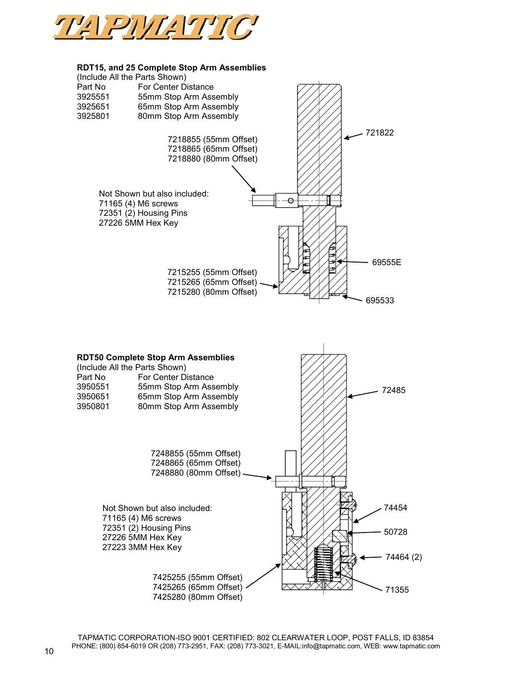

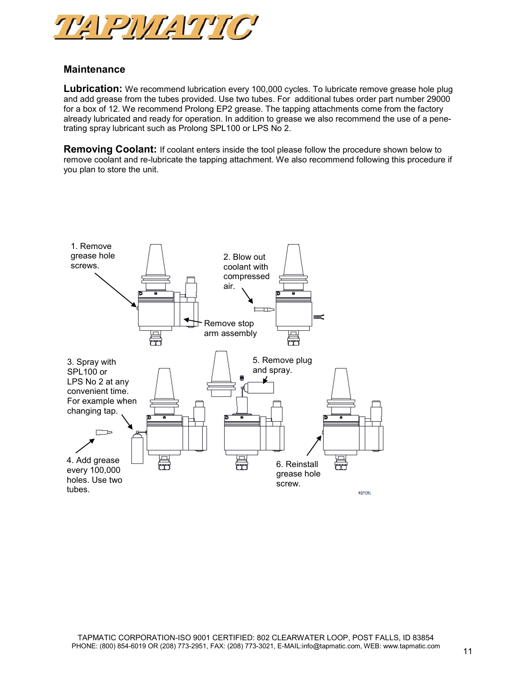

# **Maintenance**

**Lubrication:** We recommend lubrication every 100,000 cycles. To lubricate remove grease hole plug and add grease from the tubes provided. Use two tubes. For additional tubes order part number 29000 for a box of 12. We recommend Prolong EP2 grease. The tapping attachments come from the factory already lubricated and ready for operation. In addition to grease we also recommend the use of a penetrating spray lubricant such as Prolong SPL100 or LPS No 2.

**Removing Coolant:** If coolant enters inside the tool please follow the procedure shown below to remove coolant and re-lubricate the tapping attachment. We also recommend following this procedure if you plan to store the unit.